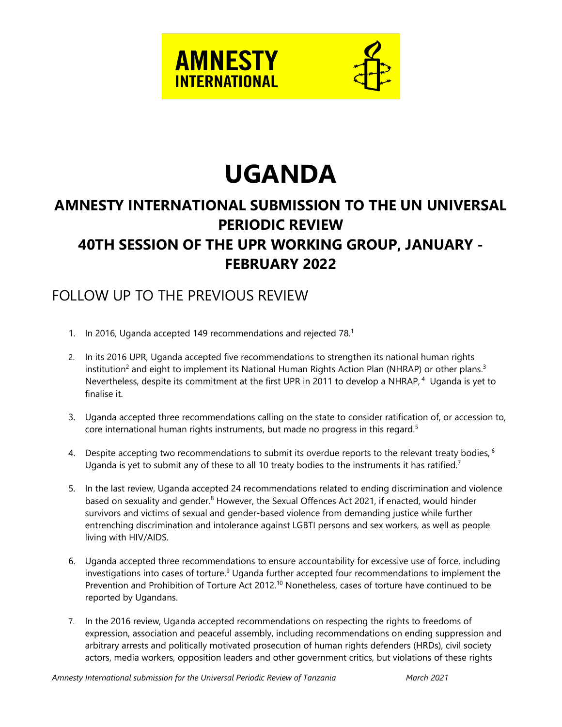



# **UGANDA**

## **AMNESTY INTERNATIONAL SUBMISSION TO THE UN UNIVERSAL PERIODIC REVIEW 40TH SESSION OF THE UPR WORKING GROUP, JANUARY - FEBRUARY 2022**

## FOLLOW UP TO THE PREVIOUS REVIEW

- 1. In 2016, Uganda accepted 149 recommendations and rejected 78. $^1$
- 2. In its 2016 UPR, Uganda accepted five recommendations to strengthen its national human rights institution<sup>2</sup> and eight to implement its National Human Rights Action Plan (NHRAP) or other plans. $^3$ Nevertheless, despite its commitment at the first UPR in 2011 to develop a NHRAP,  $^4$  Uganda is yet to finalise it.
- 3. Uganda accepted three recommendations calling on the state to consider ratification of, or accession to, core international human rights instruments, but made no progress in this regard. 5
- 4. Despite accepting two recommendations to submit its overdue reports to the relevant treaty bodies,  $^6$ Uganda is yet to submit any of these to all 10 treaty bodies to the instruments it has ratified.<sup>7</sup>
- 5. In the last review, Uganda accepted 24 recommendations related to ending discrimination and violence based on sexuality and gender.<sup>8</sup> However, the Sexual Offences Act 2021, if enacted, would hinder survivors and victims of sexual and gender-based violence from demanding justice while further entrenching discrimination and intolerance against LGBTI persons and sex workers, as well as people living with HIV/AIDS.
- 6. Uganda accepted three recommendations to ensure accountability for excessive use of force, including investigations into cases of torture.<sup>9</sup> Uganda further accepted four recommendations to implement the Prevention and Prohibition of Torture Act 2012.<sup>10</sup> Nonetheless, cases of torture have continued to be reported by Ugandans.
- 7. In the 2016 review, Uganda accepted recommendations on respecting the rights to freedoms of expression, association and peaceful assembly, including recommendations on ending suppression and arbitrary arrests and politically motivated prosecution of human rights defenders (HRDs), civil society actors, media workers, opposition leaders and other governmen<sup>t</sup> critics, but violations of these rights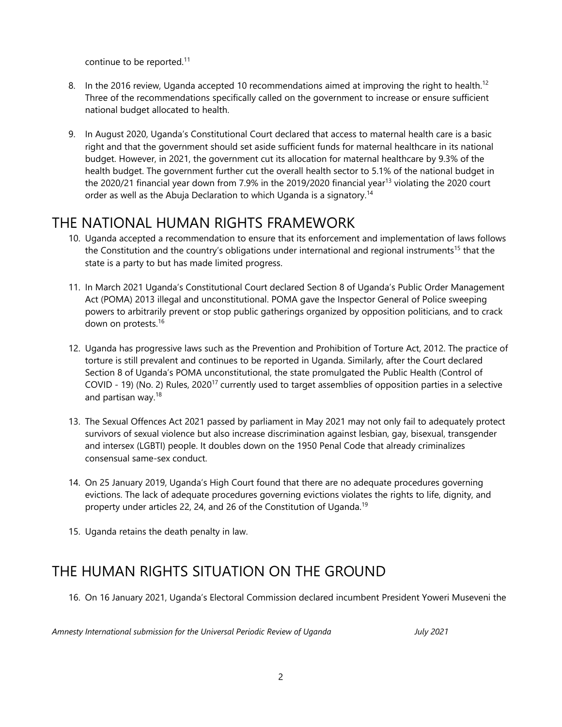continue to be reported.<sup>11</sup>

- 8.  $\,$  In the 2016 review, Uganda accepted 10 recommendations aimed at improving the right to health. $^{12}$ Three of the recommendations specifically called on the governmen<sup>t</sup> to increase or ensure sufficient national budget allocated to health.
- 9. In August 2020, Uganda'<sup>s</sup> Constitutional Court declared that access to maternal health care is <sup>a</sup> basic right and that the governmen<sup>t</sup> should set aside sufficient funds for maternal healthcare in its national budget. However, in 2021, the governmen<sup>t</sup> cut its allocation for maternal healthcare by 9.3% of the health budget. The governmen<sup>t</sup> further cut the overall health sector to 5.1% of the national budget in the 2020/21 financial year down from 7.9% in the 2019/2020 financial year<sup>13</sup> violating the 2020 court order as well as the Abuja Declaration to which Uganda is a signatory.<sup>14</sup>

## THE NATIONAL HUMAN RIGHTS FRAMEWORK

- 10. Uganda accepted <sup>a</sup> recommendation to ensure that its enforcement and implementation of laws follows the Constitution and the country's obligations under international and regional instruments<sup>15</sup> that the state is <sup>a</sup> party to but has made limited progress.
- 11. In March 2021 Uganda'<sup>s</sup> Constitutional Court declared Section 8 of Uganda'<sup>s</sup> Public Order Management Act (POMA) 2013 illegal and unconstitutional. POMA gave the Inspector General of Police sweeping powers to arbitrarily prevent or stop public gatherings organized by opposition politicians, and to crack down on protests. 16
- 12. Uganda has progressive laws such as the Prevention and Prohibition of Torture Act, 2012. The practice of torture is still prevalent and continues to be reported in Uganda. Similarly, after the Court declared Section 8 of Uganda'<sup>s</sup> POMA unconstitutional, the state promulgated the Public Health (Control of COVID - 19) (No. 2) Rules, 2020<sup>17</sup> currently used to target assemblies of opposition parties in a selective and partisan way.<sup>18</sup>
- 13. The Sexual Offences Act 2021 passed by parliament in May 2021 may not only fail to adequately protect survivors of sexual violence but also increase discrimination against lesbian, gay, bisexual, transgender and intersex (LGBTI) people. It doubles down on the 1950 Penal Code that already criminalizes consensual same-sex conduct.
- 14. On 25 January 2019, Uganda'<sup>s</sup> High Court found that there are no adequate procedures governing evictions. The lack of adequate procedures governing evictions violates the rights to life, dignity, and property under articles 22, 24, and 26 of the Constitution of Uganda.<sup>19</sup>
- 15. Uganda retains the death penalty in law.

### THE HUMAN RIGHTS SITUATION ON THE GROUND

16. On 16 January 2021, Uganda'<sup>s</sup> Electoral Commission declared incumbent President Yoweri Museveni the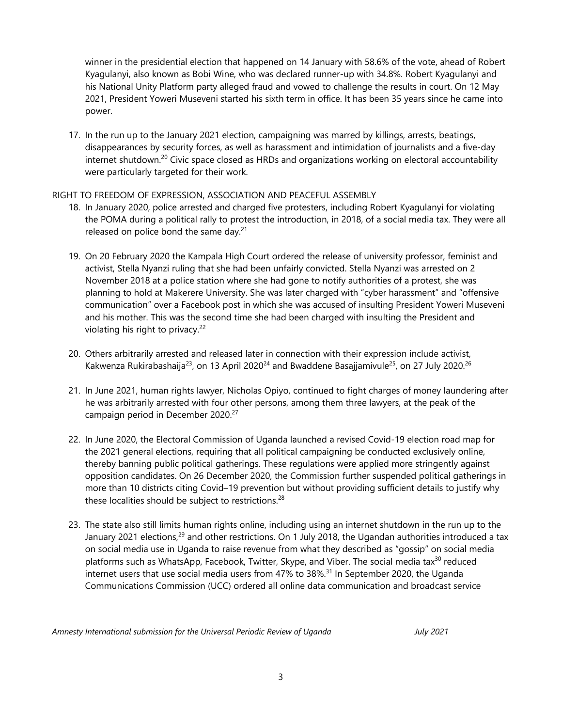winner in the presidential election that happened on 14 January with 58.6% of the vote, ahead of Robert Kyagulanyi, also known as Bobi Wine, who was declared runner-up with 34.8%. Robert Kyagulanyi and his National Unity Platform party alleged fraud and vowed to challenge the results in court. On 12 May 2021, President Yoweri Museveni started his sixth term in office. It has been 35 years since he came into power.

17. In the run up to the January 2021 election, campaigning was marred by killings, arrests, beatings, disappearances by security forces, as well as harassment and intimidation of journalists and <sup>a</sup> five-day internet shutdown.<sup>20</sup> Civic space closed as HRDs and organizations working on electoral accountability were particularly targeted for their work.

#### RIGHT TO FREEDOM OF EXPRESSION, ASSOCIATION AND PEACEFUL ASSEMBLY

- 18. In January 2020, police arrested and charged five protesters, including Robert Kyagulanyi for violating the POMA during <sup>a</sup> political rally to protest the introduction, in 2018, of <sup>a</sup> social media tax. They were all released on police bond the same day.<sup>21</sup>
- 19. On 20 February 2020 the Kampala High Court ordered the release of university professor, feminist and activist, Stella Nyanzi ruling that she had been unfairly convicted. Stella Nyanzi was arrested on 2 November 2018 at <sup>a</sup> police station where she had gone to notify authorities of <sup>a</sup> protest, she was planning to hold at Makerere University. She was later charged with "cyber harassment" and "offensive communication" over <sup>a</sup> Facebook post in which she was accused of insulting President Yoweri Museveni and his mother. This was the second time she had been charged with insulting the President and violating his right to privacy. 22
- 20. Others arbitrarily arrested and released later in connection with their expression include activist, Kakwenza Rukirabashaija $^{23}$ , on 13 April 2020 $^{24}$  and Bwaddene Basajjamivule $^{25}$ , on 27 July 2020. $^{26}$
- 21. In June 2021, human rights lawyer, Nicholas Opiyo, continued to fight charges of money laundering after he was arbitrarily arrested with four other persons, among them three lawyers, at the peak of the campaign period in December 2020. 27
- 22. In June 2020, the Electoral Commission of Uganda launched <sup>a</sup> revised Covid-19 election road map for the 2021 general elections, requiring that all political campaigning be conducted exclusively online, thereby banning public political gatherings. These regulations were applied more stringently against opposition candidates. On 26 December 2020, the Commission further suspended political gatherings in more than 10 districts citing Covid–19 prevention but without providing sufficient details to justify why these localities should be subject to restrictions. 28
- 23. The state also still limits human rights online, including using an internet shutdown in the run up to the January 2021 elections,<sup>29</sup> and other restrictions. On 1 July 2018, the Ugandan authorities introduced a tax on social media use in Uganda to raise revenue from what they described as "gossip" on social media platforms such as WhatsApp, Facebook, Twitter, Skype, and Viber. The social media tax<sup>30</sup> reduced internet users that use social media users from 47% to 38%.<sup>31</sup> In September 2020, the Uganda Communications Commission (UCC) ordered all online data communication and broadcast service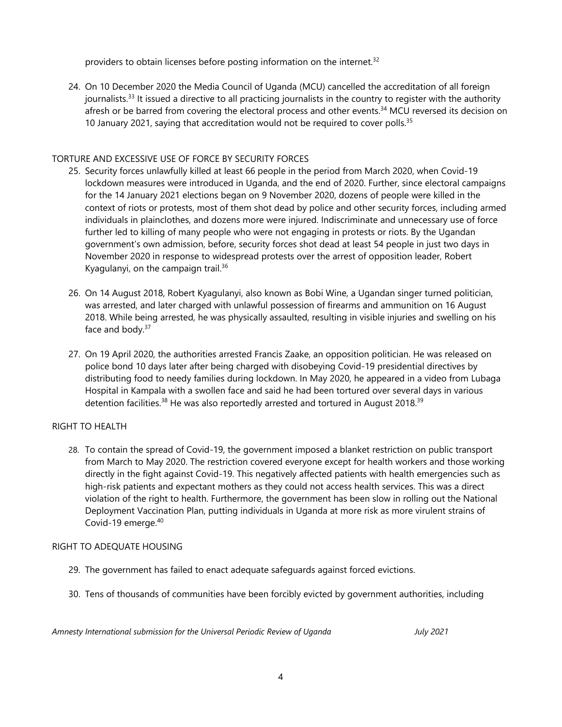providers to obtain licenses before posting information on the internet.<sup>32</sup>

24. On 10 December 2020 the Media Council of Uganda (MCU) cancelled the accreditation of all foreign journalists.<sup>33</sup> It issued a directive to all practicing journalists in the country to register with the authority afresh or be barred from covering the electoral process and other events.<sup>34</sup> MCU reversed its decision on 10 January 2021, saying that accreditation would not be required to cover polls.<sup>35</sup>

#### TORTURE AND EXCESSIVE USE OF FORCE BY SECURITY FORCES

- 25. Security forces unlawfully killed at least 66 people in the period from March 2020, when Covid-19 lockdown measures were introduced in Uganda, and the end of 2020. Further, since electoral campaigns for the 14 January 2021 elections began on 9 November 2020, dozens of people were killed in the context of riots or protests, most of them shot dead by police and other security forces, including armed individuals in plainclothes, and dozens more were injured. Indiscriminate and unnecessary use of force further led to killing of many people who were not engaging in protests or riots. By the Ugandan government'<sup>s</sup> own admission, before, security forces shot dead at least 54 people in just two days in November 2020 in response to widespread protests over the arrest of opposition leader, Robert Kyagulanyi, on the campaign trail.<sup>36</sup>
- 26. On 14 August 2018, Robert Kyagulanyi, also known as Bobi Wine, <sup>a</sup> Ugandan singer turned politician, was arrested, and later charged with unlawful possession of firearms and ammunition on 16 August 2018. While being arrested, he was physically assaulted, resulting in visible injuries and swelling on his face and body.<sup>37</sup>
- 27. On 19 April 2020, the authorities arrested Francis Zaake, an opposition politician. He was released on police bond 10 days later after being charged with disobeying Covid-19 presidential directives by distributing food to needy families during lockdown. In May 2020, he appeared in <sup>a</sup> video from Lubaga Hospital in Kampala with <sup>a</sup> swollen face and said he had been tortured over several days in various detention facilities.<sup>38</sup> He was also reportedly arrested and tortured in August 2018.<sup>39</sup>

#### RIGHT TO HEALTH

28. To contain the spread of Covid-19, the governmen<sup>t</sup> imposed <sup>a</sup> blanket restriction on public transport from March to May 2020. The restriction covered everyone except for health workers and those working directly in the fight against Covid-19. This negatively affected patients with health emergencies such as high-risk patients and expectant mothers as they could not access health services. This was <sup>a</sup> direct violation of the right to health. Furthermore, the governmen<sup>t</sup> has been slow in rolling out the National Deployment Vaccination Plan, putting individuals in Uganda at more risk as more virulent strains of Covid-19 emerge. 40

#### RIGHT TO ADEQUATE HOUSING

- 29. The governmen<sup>t</sup> has failed to enact adequate safeguards against forced evictions.
- 30. Tens of thousands of communities have been forcibly evicted by governmen<sup>t</sup> authorities, including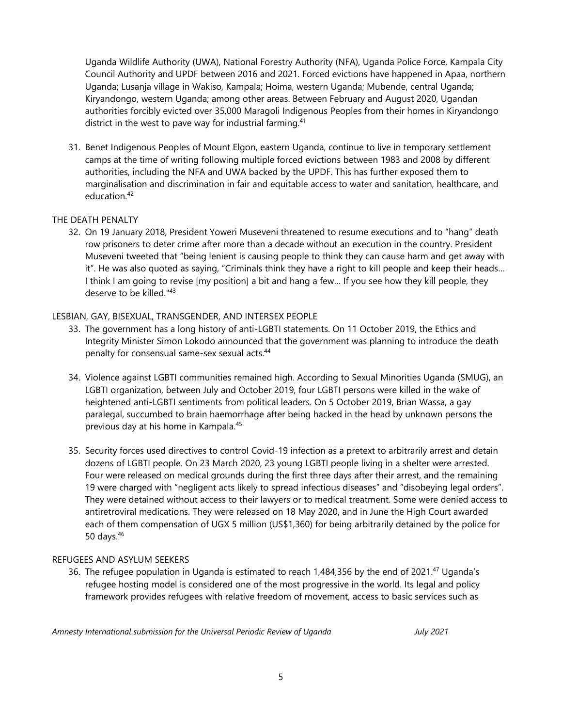Uganda Wildlife Authority (UWA), National Forestry Authority (NFA), Uganda Police Force, Kampala City Council Authority and UPDF between 2016 and 2021. Forced evictions have happened in Apaa, northern Uganda; Lusanja village in Wakiso, Kampala; Hoima, western Uganda; Mubende, central Uganda; Kiryandongo, western Uganda; among other areas. Between February and August 2020, Ugandan authorities forcibly evicted over 35,000 Maragoli Indigenous Peoples from their homes in Kiryandongo district in the west to pave way for industrial farming. 41

31. Benet Indigenous Peoples of Mount Elgon, eastern Uganda, continue to live in temporary settlement camps at the time of writing following multiple forced evictions between 1983 and 2008 by different authorities, including the NFA and UWA backed by the UPDF. This has further exposed them to marginalisation and discrimination in fair and equitable access to water and sanitation, healthcare, and education.<sup>42</sup>

#### THE DEATH PENALTY

32. On 19 January 2018, President Yoweri Museveni threatened to resume executions and to "hang" death row prisoners to deter crime after more than <sup>a</sup> decade without an execution in the country. President Museveni tweeted that "being lenient is causing people to think they can cause harm and ge<sup>t</sup> away with it". He was also quoted as saying, "Criminals think they have <sup>a</sup> right to kill people and keep their heads… I think I am going to revise [my position] <sup>a</sup> bit and hang <sup>a</sup> few… If you see how they kill people, they deserve to be killed."<sup>43</sup>

#### LESBIAN, GAY, BISEXUAL, TRANSGENDER, AND INTERSEX PEOPLE

- 33. The governmen<sup>t</sup> has <sup>a</sup> long history of anti-LGBTI statements. On 11 October 2019, the Ethics and Integrity Minister Simon Lokodo announced that the governmen<sup>t</sup> was planning to introduce the death penalty for consensual same-sex sexual acts. 44
- 34. Violence against LGBTI communities remained high. According to Sexual Minorities Uganda (SMUG), an LGBTI organization, between July and October 2019, four LGBTI persons were killed in the wake of heightened anti-LGBTI sentiments from political leaders. On 5 October 2019, Brian Wassa, <sup>a</sup> gay paralegal, succumbed to brain haemorrhage after being hacked in the head by unknown persons the previous day at his home in Kampala. 45
- 35. Security forces used directives to control Covid-19 infection as <sup>a</sup> pretext to arbitrarily arrest and detain dozens of LGBTI people. On 23 March 2020, 23 young LGBTI people living in <sup>a</sup> shelter were arrested. Four were released on medical grounds during the first three days after their arrest, and the remaining 19 were charged with "negligent acts likely to spread infectious diseases" and "disobeying legal orders". They were detained without access to their lawyers or to medical treatment. Some were denied access to antiretroviral medications. They were released on 18 May 2020, and in June the High Court awarded each of them compensation of UGX <sup>5</sup> million (US\$1,360) for being arbitrarily detained by the police for 50 days. 46

#### REFUGEES AND ASYLUM SEEKERS

36. The refugee population in Uganda is estimated to reach 1,484,356 by the end of 2021.<sup>47</sup> Uganda's refugee hosting model is considered one of the most progressive in the world. Its legal and policy framework provides refugees with relative freedom of movement, access to basic services such as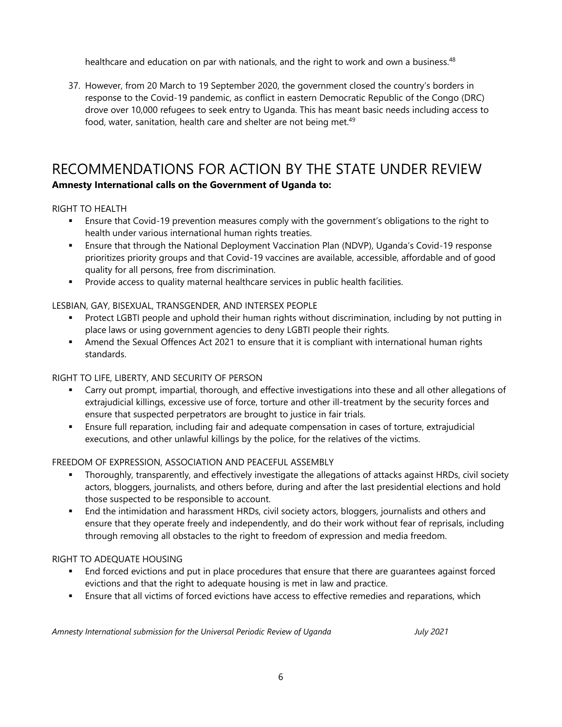healthcare and education on par with nationals, and the right to work and own a business.<sup>48</sup>

37. However, from 20 March to 19 September 2020, the governmen<sup>t</sup> closed the country'<sup>s</sup> borders in response to the Covid-19 pandemic, as conflict in eastern Democratic Republic of the Congo (DRC) drove over 10,000 refugees to seek entry to Uganda. This has meant basic needs including access to food, water, sanitation, health care and shelter are not being met.<sup>49</sup>

### RECOMMENDATIONS FOR ACTION BY THE STATE UNDER REVIEW **Amnesty International calls on the Government of Uganda to:**

#### RIGHT TO HEALTH

- Ensure that Covid-19 prevention measures comply with the government'<sup>s</sup> obligations to the right to health under various international human rights treaties.
- Ensure that through the National Deployment Vaccination Plan (NDVP), Uganda'<sup>s</sup> Covid-19 response prioritizes priority groups and that Covid-19 vaccines are available, accessible, affordable and of good quality for all persons, free from discrimination.
- Provide access to quality maternal healthcare services in public health facilities.

#### LESBIAN, GAY, BISEXUAL, TRANSGENDER, AND INTERSEX PEOPLE

- n Protect LGBTI people and uphold their human rights without discrimination, including by not putting in place laws or using governmen<sup>t</sup> agencies to deny LGBTI people their rights.
- Amend the Sexual Offences Act 2021 to ensure that it is compliant with international human rights standards.

#### RIGHT TO LIFE, LIBERTY, AND SECURITY OF PERSON

- Carry out prompt, impartial, thorough, and effective investigations into these and all other allegations of extrajudicial killings, excessive use of force, torture and other ill-treatment by the security forces and ensure that suspected perpetrators are brought to justice in fair trials.
- П Ensure full reparation, including fair and adequate compensation in cases of torture, extrajudicial executions, and other unlawful killings by the police, for the relatives of the victims.

#### FREEDOM OF EXPRESSION, ASSOCIATION AND PEACEFUL ASSEMBLY

- Thoroughly, transparently, and effectively investigate the allegations of attacks against HRDs, civil society actors, bloggers, journalists, and others before, during and after the last presidential elections and hold those suspected to be responsible to account.
- End the intimidation and harassment HRDs, civil society actors, bloggers, journalists and others and ensure that they operate freely and independently, and do their work without fear of reprisals, including through removing all obstacles to the right to freedom of expression and media freedom.

#### RIGHT TO ADEQUATE HOUSING

- End forced evictions and put in place procedures that ensure that there are guarantees against forced evictions and that the right to adequate housing is met in law and practice.
- Ensure that all victims of forced evictions have access to effective remedies and reparations, which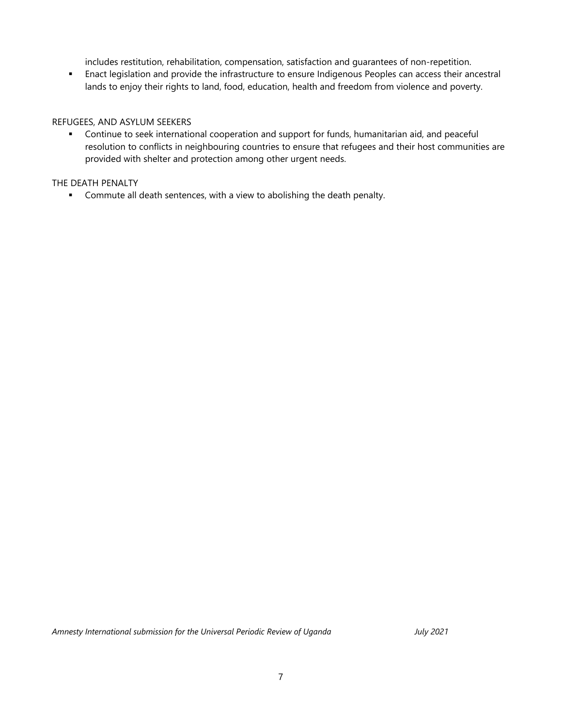includes restitution, rehabilitation, compensation, satisfaction and guarantees of non-repetition.

 Enact legislation and provide the infrastructure to ensure Indigenous Peoples can access their ancestral lands to enjoy their rights to land, food, education, health and freedom from violence and poverty.

#### REFUGEES, AND ASYLUM SEEKERS

 $\bullet$  . Continue to seek international cooperation and support for funds, humanitarian aid, and peaceful resolution to conflicts in neighbouring countries to ensure that refugees and their host communities are provided with shelter and protection among other urgen<sup>t</sup> needs.

#### THE DEATH PENALTY

**EXTENDED EXE** Commute all death sentences, with a view to abolishing the death penalty.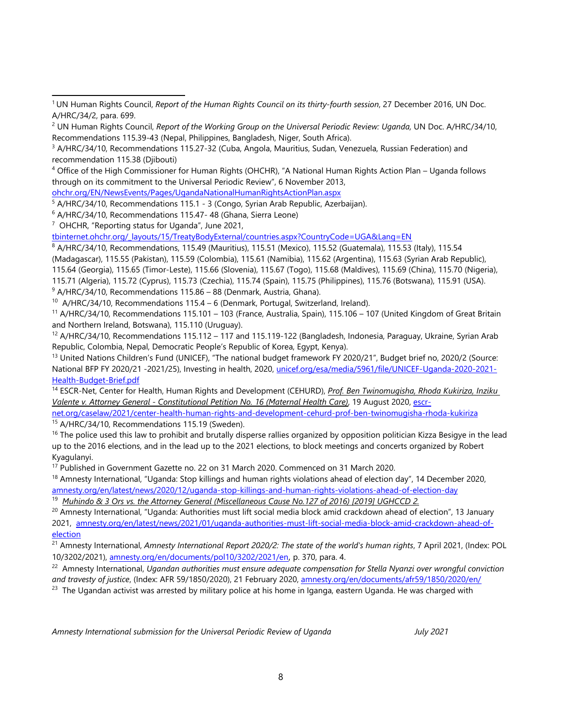4 Office of the High Commissioner for Human Rights (OHCHR), "A National Human Rights Action Plan – Uganda follows through on its commitment to the Universal Periodic Review", 6 November 2013,

[ohchr.org/EN/NewsEvents/Pages/UgandaNationalHumanRightsActionPlan.aspx](http://www.ohchr.org/EN/NewsEvents/Pages/UgandaNationalHumanRightsActionPlan.aspx)

<sup>5</sup> A/HRC/34/10, Recommendations 115.1 - 3 (Congo, Syrian Arab Republic, Azerbaijan).

<sup>6</sup> A/HRC/34/10, Recommendations 115.47- 48 (Ghana, Sierra Leone)

<sup>7</sup> OHCHR, "Reporting status for Uganda", June 2021,

[tbinternet.ohchr.org/\\_layouts/15/TreatyBodyExternal/countries.aspx?CountryCode=UGA&Lang=EN](https://tbinternet.ohchr.org/_layouts/15/TreatyBodyExternal/countries.aspx?CountryCode=UGA&Lang=EN)

8 A/HRC/34/10, Recommendations, 115.49 (Mauritius), 115.51 (Mexico), 115.52 (Guatemala), 115.53 (Italy), 115.54

(Madagascar), 115.55 (Pakistan), 115.59 (Colombia), 115.61 (Namibia), 115.62 (Argentina), 115.63 (Syrian Arab Republic),

115.64 (Georgia), 115.65 (Timor-Leste), 115.66 (Slovenia), 115.67 (Togo), 115.68 (Maldives), 115.69 (China), 115.70 (Nigeria),

115.71 (Algeria), 115.72 (Cyprus), 115.73 (Czechia), 115.74 (Spain), 115.75 (Philippines), 115.76 (Botswana), 115.91 (USA).

 $9$  A/HRC/34/10, Recommendations 115.86 – 88 (Denmark, Austria, Ghana).

<sup>10</sup> A/HRC/34/10, Recommendations 115.4 – 6 (Denmark, Portugal, Switzerland, Ireland).

<sup>11</sup> A/HRC/34/10, Recommendations 115.101 – 103 (France, Australia, Spain), 115.106 – 107 (United Kingdom of Great Britain and Northern Ireland, Botswana), 115.110 (Uruguay).

<sup>12</sup> A/HRC/34/10, Recommendations 115.112 – 117 and 115.119-122 (Bangladesh, Indonesia, Paraguay, Ukraine, Syrian Arab Republic, Colombia, Nepal, Democratic People'<sup>s</sup> Republic of Korea, Egypt, Kenya).

<sup>13</sup> United Nations Children's Fund (UNICEF), "The national budget framework FY 2020/21", Budget brief no, 2020/2 (Source: National BFP FY 2020/21 -2021/25), Investing in health, 2020, [unicef.org/esa/media/5961/file/UNICEF-Uganda-2020-2021-](http://www.unicef.org/esa/media/5961/file/UNICEF-Uganda-2020-2021-Health-Budget-Brief.pdf) [Health-Budget-Brief.pdf](http://www.unicef.org/esa/media/5961/file/UNICEF-Uganda-2020-2021-Health-Budget-Brief.pdf)

14 ESCR-Net, Center for Health, Human Rights and Development (CEHURD), *Prof. Ben Twinomugisha, Rhoda Kukiriza, Inziku Valente v. Attorney General - Constitutional Petition No. 16 (Maternal Health Care)*, 19 August 2020, [escr-](http://www.escr-net.org/caselaw/2021/center-health-human-rights-and-development-cehurd-prof-ben-twinomugisha-rhoda-kukiriza)

[net.org/caselaw/2021/center-health-human-rights-and-development-cehurd-prof-ben-twinomugisha-rhoda-kukiriza](http://www.escr-net.org/caselaw/2021/center-health-human-rights-and-development-cehurd-prof-ben-twinomugisha-rhoda-kukiriza) <sup>15</sup> A/HRC/34/10, Recommendations 115.19 (Sweden).

<sup>16</sup> The police used this law to prohibit and brutally disperse rallies organized by opposition politician Kizza Besigye in the lead up to the 2016 elections, and in the lead up to the 2021 elections, to block meetings and concerts organized by Robert Kyagulanyi.

<sup>17</sup> Published in Government Gazette no. 22 on 31 March 2020. Commenced on 31 March 2020.

<sup>18</sup> Amnesty International, "Uganda: Stop killings and human rights violations ahead of election day", 14 December 2020, [amnesty.org/en/latest/news/2020/12/uganda-stop-killings-and-human-rights-violations-ahead-of-election-day](http://www.amnesty.org/en/latest/news/2020/12/uganda-stop-killings-and-human-rights-violations-ahead-of-election-day/)

<sup>19</sup> *Muhindo & <sup>3</sup> Ors vs. the Attorney General (Miscellaneous Cause No.127 of 2016) [2019] UGHCCD 2.*

<sup>20</sup> Amnesty International, "Uganda: Authorities must lift social media block amid crackdown ahead of election", 13 January 2021, [amnesty.org/en/latest/news/2021/01/uganda-authorities-must-lift-social-media-block-amid-crackdown-ahead-of](http://www.amnesty.org/en/latest/news/2021/01/uganda-authorities-must-lift-social-media-block-amid-crackdown-ahead-of-election/)[election](http://www.amnesty.org/en/latest/news/2021/01/uganda-authorities-must-lift-social-media-block-amid-crackdown-ahead-of-election/)

21 Amnesty International, *Amnesty International Report 2020/2: The state of the world's human rights*, 7 April 2021, (Index: POL 10/3202/2021), [amnesty.org/en/documents/pol10/3202/2021/en](https://www.amnesty.org/en/documents/pol10/3202/2021/en), p. 370, para. 4.

22 Amnesty International, *Ugandan authorities must ensure adequate compensation for Stella Nyanzi over wrongful conviction and travesty of justice*, (Index: AFR 59/1850/2020), 21 February 2020, [amnesty.org/en/documents/afr59/1850/2020/en/](http://www.amnesty.org/en/documents/afr59/1850/2020/en/)

 $^{23}$  The Ugandan activist was arrested by military police at his home in Iganga, eastern Uganda. He was charged with

<sup>1</sup> UN Human Rights Council, *Report of the Human Rights Council on its thirty-fourth session*, 27 December 2016, UN Doc. A/HRC/34/2, para. 699.

<sup>2</sup> UN Human Rights Council, *Report of the Working Group on the Universal Periodic Review: Uganda,* UN Doc. A/HRC/34/10, Recommendations 115.39-43 (Nepal, Philippines, Bangladesh, Niger, South Africa).

<sup>&</sup>lt;sup>3</sup> A/HRC/34/10, Recommendations 115.27-32 (Cuba, Angola, Mauritius, Sudan, Venezuela, Russian Federation) and recommendation 115.38 (Djibouti)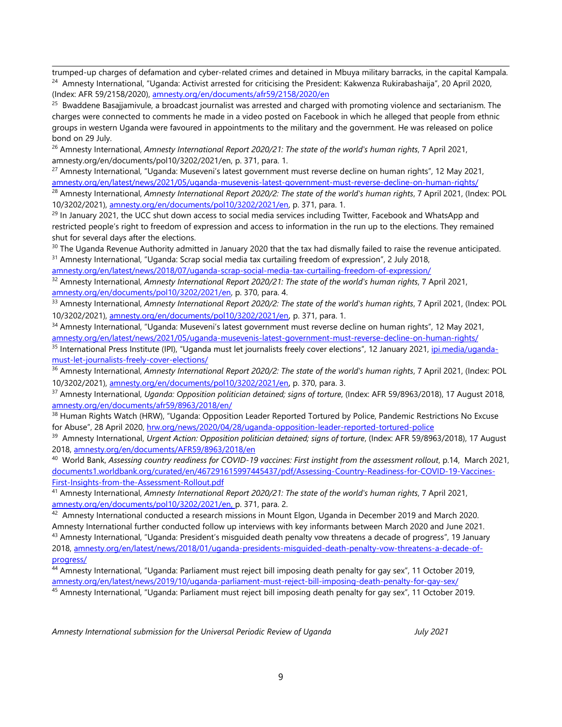trumped-up charges of defamation and cyber-related crimes and detained in Mbuya military barracks, in the capital Kampala. <sup>24</sup> Amnesty International, "Uganda: Activist arrested for criticising the President: Kakwenza Rukirabashaija", 20 April 2020, (Index: AFR 59/2158/2020), [amnesty.org/en/documents/afr59/2158/2020/en](http://www.amnesty.org/en/documents/afr59/2158/2020/en/)

<sup>25</sup> Bwaddene Basajjamivule, a broadcast journalist was arrested and charged with promoting violence and sectarianism. The charges were connected to comments he made in <sup>a</sup> video posted on Facebook in which he alleged that people from ethnic groups in western Uganda were favoured in appointments to the military and the government. He was released on police bond on 29 July.

26 Amnesty International, *Amnesty International Report 2020/21: The state of the world's human rights*, 7 April 2021, amnesty.org/en/documents/pol10/3202/2021/en, p. 371, para. 1.

<sup>27</sup> Amnesty International, "Uganda: Museveni's latest government must reverse decline on human rights", 12 May 2021, [amnesty.org/en/latest/news/2021/05/uganda-musevenis-latest-government-must-reverse-decline-on-human-rights/](http://www.amnesty.org/en/latest/news/2021/05/uganda-musevenis-latest-government-must-reverse-decline-on-human-rights/)

28 Amnesty International, *Amnesty International Report 2020/2: The state of the world's human rights*, 7 April 2021, (Index: POL 10/3202/2021), [amnesty.org/en/documents/pol10/3202/2021/en,](https://www.amnesty.org/en/documents/pol10/3202/2021/en) p. 371, para. 1.

<sup>29</sup> In January 2021, the UCC shut down access to social media services including Twitter, Facebook and WhatsApp and restricted people'<sup>s</sup> right to freedom of expression and access to information in the run up to the elections. They remained shut for several days after the elections.

 $\rm{^{30}}$  The Uganda Revenue Authority admitted in January 2020 that the tax had dismally failed to raise the revenue anticipated. <sup>31</sup> Amnesty International, "Uganda: Scrap social media tax curtailing freedom of expression", 2 July 2018,

[amnesty.org/en/latest/news/2018/07/uganda-scrap-social-media-tax-curtailing-freedom-of-expression/](http://www.amnesty.org/en/latest/news/2018/07/uganda-scrap-social-media-tax-curtailing-freedom-of-expression/)

32 Amnesty International, *Amnesty International Report 2020/21: The state of the world's human rights*, 7 April 2021, [amnesty.org/en/documents/pol10/3202/2021/en](https://www.amnesty.org/en/documents/pol10/3202/2021/en), p. 370, para. 4.

33 Amnesty International, *Amnesty International Report 2020/2: The state of the world's human rights*, 7 April 2021, (Index: POL 10/3202/2021), [amnesty.org/en/documents/pol10/3202/2021/en](https://www.amnesty.org/en/documents/pol10/3202/2021/en), p. 371, para. 1.

<sup>34</sup> Amnesty International, "Uganda: Museveni's latest government must reverse decline on human rights", 12 May 2021, [amnesty.org/en/latest/news/2021/05/uganda-musevenis-latest-government-must-reverse-decline-on-human-rights/](http://www.amnesty.org/en/latest/news/2021/05/uganda-musevenis-latest-government-must-reverse-decline-on-human-rights/)

<sup>35</sup> International Press Institute (IPI), "Uganda must let journalists freely cover elections", 12 January 2021, <u>ipi.media/uganda-</u> [must-let-journalists-freely-cover-elections/](http://www.ipi.media/uganda-must-let-journalists-freely-cover-elections/)

36 Amnesty International, *Amnesty International Report 2020/2: The state of the world's human rights*, 7 April 2021, (Index: POL 10/3202/2021), [amnesty.org/en/documents/pol10/3202/2021/en](https://www.amnesty.org/en/documents/pol10/3202/2021/en), p. 370, para. 3.

37 Amnesty International, *Uganda: Opposition politician detained; signs of torture*, (Index: AFR 59/8963/2018), 17 August 2018, [amnesty.org/en/documents/afr59/8963/2018/en/](http://www.amnesty.org/en/documents/afr59/8963/2018/en/)

<sup>38</sup> Human Rights Watch (HRW), "Uganda: Opposition Leader Reported Tortured by Police, Pandemic Restrictions No Excuse for Abuse", 28 April 2020, [hrw.org/news/2020/04/28/uganda-opposition-leader-reported-tortured-police](http://www.hrw.org/news/2020/04/28/uganda-opposition-leader-reported-tortured-police)

39 Amnesty International, *Urgent Action: Opposition politician detained; signs of torture*, (Index: AFR 59/8963/2018), 17 August 2018, [amnesty.org/en/documents/AFR59/8963/2018/en](http://www.amnesty.org/en/documents/AFR59/8963/2018/en)

<sup>40</sup> World Bank, *Assessing country readiness for COVID-19 vaccines: First instight from the assessment rollout*, p.14, March 2021, [documents1.worldbank.org/curated/en/467291615997445437/pdf/Assessing-Country-Readiness-for-COVID-19-Vaccines-](https://documents1.worldbank.org/curated/en/467291615997445437/pdf/Assessing-Country-Readiness-for-COVID-19-Vaccines-First-Insights-from-the-Assessment-Rollout.pdf)[First-Insights-from-the-Assessment-Rollout.pdf](https://documents1.worldbank.org/curated/en/467291615997445437/pdf/Assessing-Country-Readiness-for-COVID-19-Vaccines-First-Insights-from-the-Assessment-Rollout.pdf)

41 Amnesty International, *Amnesty International Report 2020/21: The state of the world's human rights*, 7 April 2021, [amnesty.org/en/documents/pol10/3202/2021/en](http://www.amnesty.org/en/documents/pol10/3202/2021/en), p. 371, para. 2.

 $^{42}$  Amnesty International conducted a research missions in Mount Elgon, Uganda in December 2019 and March 2020. Amnesty International further conducted follow up interviews with key informants between March 2020 and June 2021.

<sup>43</sup> Amnesty International, "Uganda: President's misguided death penalty vow threatens a decade of progress", 19 January 2018, [amnesty.org/en/latest/news/2018/01/uganda-presidents-misguided-death-penalty-vow-threatens-a-decade-of](http://www.amnesty.org/en/latest/news/2018/01/uganda-presidents-misguided-death-penalty-vow-threatens-a-decade-of-progress/)[progress/](http://www.amnesty.org/en/latest/news/2018/01/uganda-presidents-misguided-death-penalty-vow-threatens-a-decade-of-progress/)

44 Amnesty International, "Uganda: Parliament must reject bill imposing death penalty for gay sex", 11 October 2019, [amnesty.org/en/latest/news/2019/10/uganda-parliament-must-reject-bill-imposing-death-penalty-for-gay-sex/](http://www.amnesty.org/en/latest/news/2019/10/uganda-parliament-must-reject-bill-imposing-death-penalty-for-gay-sex/)

<sup>45</sup> Amnesty International, "Uganda: Parliament must reject bill imposing death penalty for gay sex", 11 October 2019.